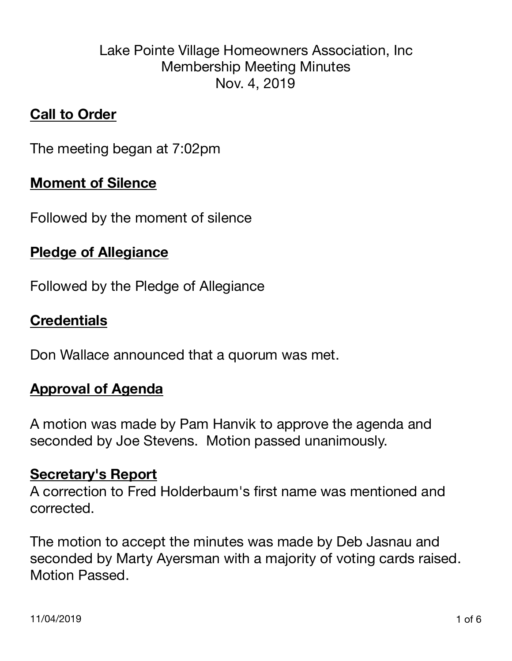# Lake Pointe Village Homeowners Association, Inc Membership Meeting Minutes Nov. 4, 2019

# **Call to Order**

The meeting began at 7:02pm

## **Moment of Silence**

Followed by the moment of silence

## **Pledge of Allegiance**

Followed by the Pledge of Allegiance

# **Credentials**

Don Wallace announced that a quorum was met.

# **Approval of Agenda**

A motion was made by Pam Hanvik to approve the agenda and seconded by Joe Stevens. Motion passed unanimously.

#### **Secretary's Report**

A correction to Fred Holderbaum's first name was mentioned and corrected.

The motion to accept the minutes was made by Deb Jasnau and seconded by Marty Ayersman with a majority of voting cards raised. Motion Passed.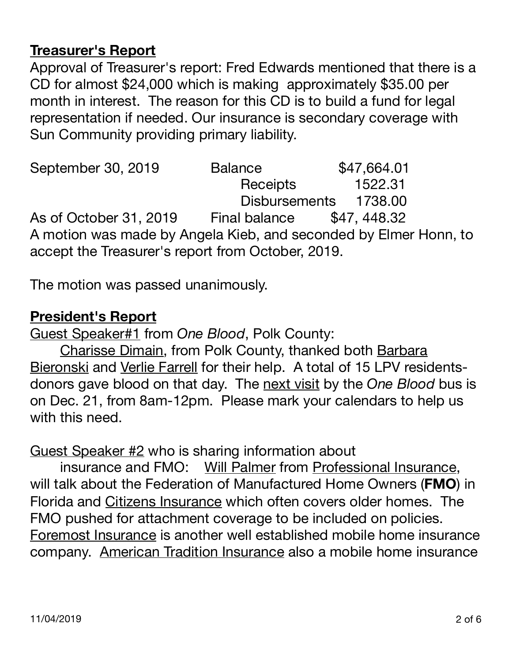# **Treasurer's Report**

Approval of Treasurer's report: Fred Edwards mentioned that there is a CD for almost \$24,000 which is making approximately \$35.00 per month in interest. The reason for this CD is to build a fund for legal representation if needed. Our insurance is secondary coverage with Sun Community providing primary liability.

September 30, 2019 Balance \$47,664.01 Receipts 1522.31 Disbursements 1738.00 As of October 31, 2019 Final balance \$47, 448.32 A motion was made by Angela Kieb, and seconded by Elmer Honn, to accept the Treasurer's report from October, 2019.

The motion was passed unanimously.

### **President's Report**

Guest Speaker#1 from *One Blood*, Polk County:

Charisse Dimain, from Polk County, thanked both Barbara Bieronski and Verlie Farrell for their help. A total of 15 LPV residentsdonors gave blood on that day. The next visit by the *One Blood* bus is on Dec. 21, from 8am-12pm. Please mark your calendars to help us with this need.

# Guest Speaker #2 who is sharing information about

insurance and FMO: Will Palmer from Professional Insurance, will talk about the Federation of Manufactured Home Owners (**FMO**) in Florida and Citizens Insurance which often covers older homes. The FMO pushed for attachment coverage to be included on policies. Foremost Insurance is another well established mobile home insurance company. American Tradition Insurance also a mobile home insurance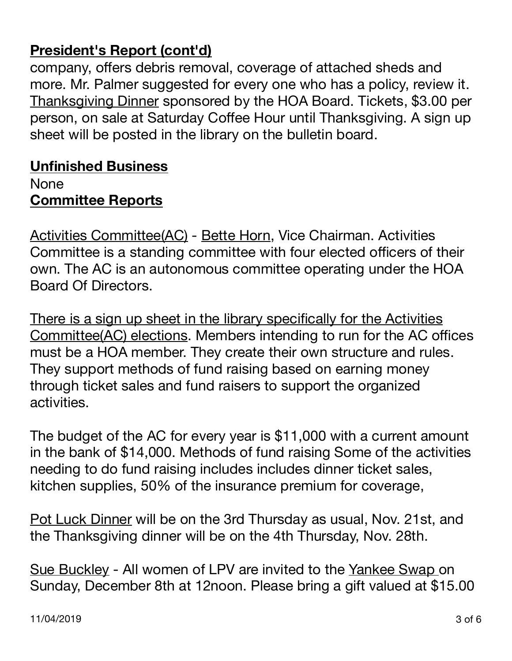# **President's Report (cont'd)**

company, offers debris removal, coverage of attached sheds and more. Mr. Palmer suggested for every one who has a policy, review it. Thanksgiving Dinner sponsored by the HOA Board. Tickets, \$3.00 per person, on sale at Saturday Coffee Hour until Thanksgiving. A sign up sheet will be posted in the library on the bulletin board.

## **Unfinished Business**  None

# **Committee Reports**

Activities Committee(AC) - Bette Horn, Vice Chairman. Activities Committee is a standing committee with four elected officers of their own. The AC is an autonomous committee operating under the HOA Board Of Directors.

There is a sign up sheet in the library specifically for the Activities Committee(AC) elections. Members intending to run for the AC offices must be a HOA member. They create their own structure and rules. They support methods of fund raising based on earning money through ticket sales and fund raisers to support the organized activities.

The budget of the AC for every year is \$11,000 with a current amount in the bank of \$14,000. Methods of fund raising Some of the activities needing to do fund raising includes includes dinner ticket sales, kitchen supplies, 50% of the insurance premium for coverage,

Pot Luck Dinner will be on the 3rd Thursday as usual, Nov. 21st, and the Thanksgiving dinner will be on the 4th Thursday, Nov. 28th.

Sue Buckley - All women of LPV are invited to the Yankee Swap on Sunday, December 8th at 12noon. Please bring a gift valued at \$15.00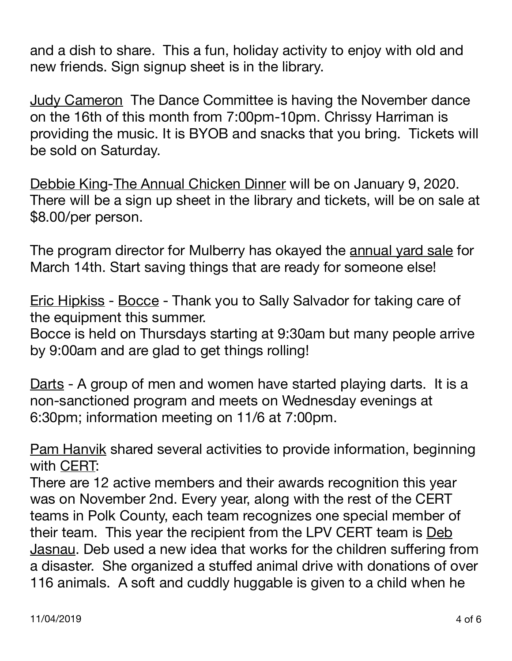and a dish to share. This a fun, holiday activity to enjoy with old and new friends. Sign signup sheet is in the library.

Judy Cameron The Dance Committee is having the November dance on the 16th of this month from 7:00pm-10pm. Chrissy Harriman is providing the music. It is BYOB and snacks that you bring. Tickets will be sold on Saturday.

Debbie King-The Annual Chicken Dinner will be on January 9, 2020. There will be a sign up sheet in the library and tickets, will be on sale at \$8.00/per person.

The program director for Mulberry has okayed the annual yard sale for March 14th. Start saving things that are ready for someone else!

Eric Hipkiss - Bocce - Thank you to Sally Salvador for taking care of the equipment this summer.

Bocce is held on Thursdays starting at 9:30am but many people arrive by 9:00am and are glad to get things rolling!

Darts - A group of men and women have started playing darts. It is a non-sanctioned program and meets on Wednesday evenings at 6:30pm; information meeting on 11/6 at 7:00pm.

Pam Hanvik shared several activities to provide information, beginning with CERT:

There are 12 active members and their awards recognition this year was on November 2nd. Every year, along with the rest of the CERT teams in Polk County, each team recognizes one special member of their team. This year the recipient from the LPV CERT team is Deb Jasnau. Deb used a new idea that works for the children suffering from a disaster. She organized a stuffed animal drive with donations of over 116 animals. A soft and cuddly huggable is given to a child when he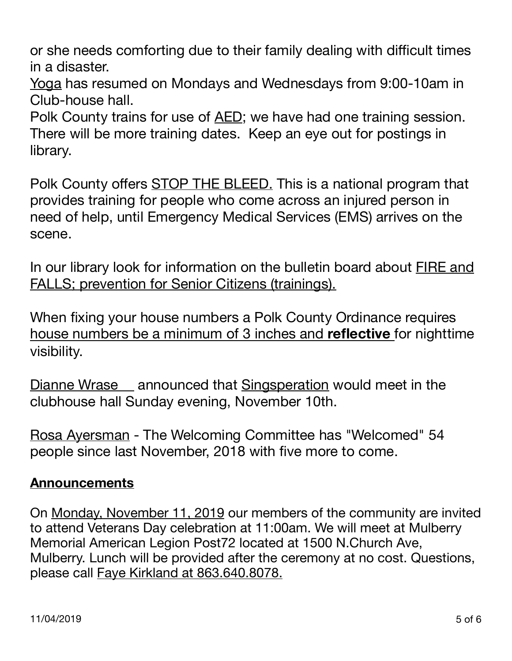or she needs comforting due to their family dealing with difficult times in a disaster.

Yoga has resumed on Mondays and Wednesdays from 9:00-10am in Club-house hall.

Polk County trains for use of AED; we have had one training session. There will be more training dates. Keep an eye out for postings in library.

Polk County offers STOP THE BLEED. This is a national program that provides training for people who come across an injured person in need of help, until Emergency Medical Services (EMS) arrives on the scene.

In our library look for information on the bulletin board about FIRE and FALLS; prevention for Senior Citizens (trainings).

When fixing your house numbers a Polk County Ordinance requires house numbers be a minimum of 3 inches and **reflective** for nighttime visibility.

Dianne Wrase announced that Singsperation would meet in the clubhouse hall Sunday evening, November 10th.

Rosa Ayersman - The Welcoming Committee has "Welcomed" 54 people since last November, 2018 with five more to come.

### **Announcements**

On Monday, November 11, 2019 our members of the community are invited to attend Veterans Day celebration at 11:00am. We will meet at Mulberry Memorial American Legion Post72 located at 1500 N.Church Ave, Mulberry. Lunch will be provided after the ceremony at no cost. Questions, please call Faye Kirkland at 863.640.8078.